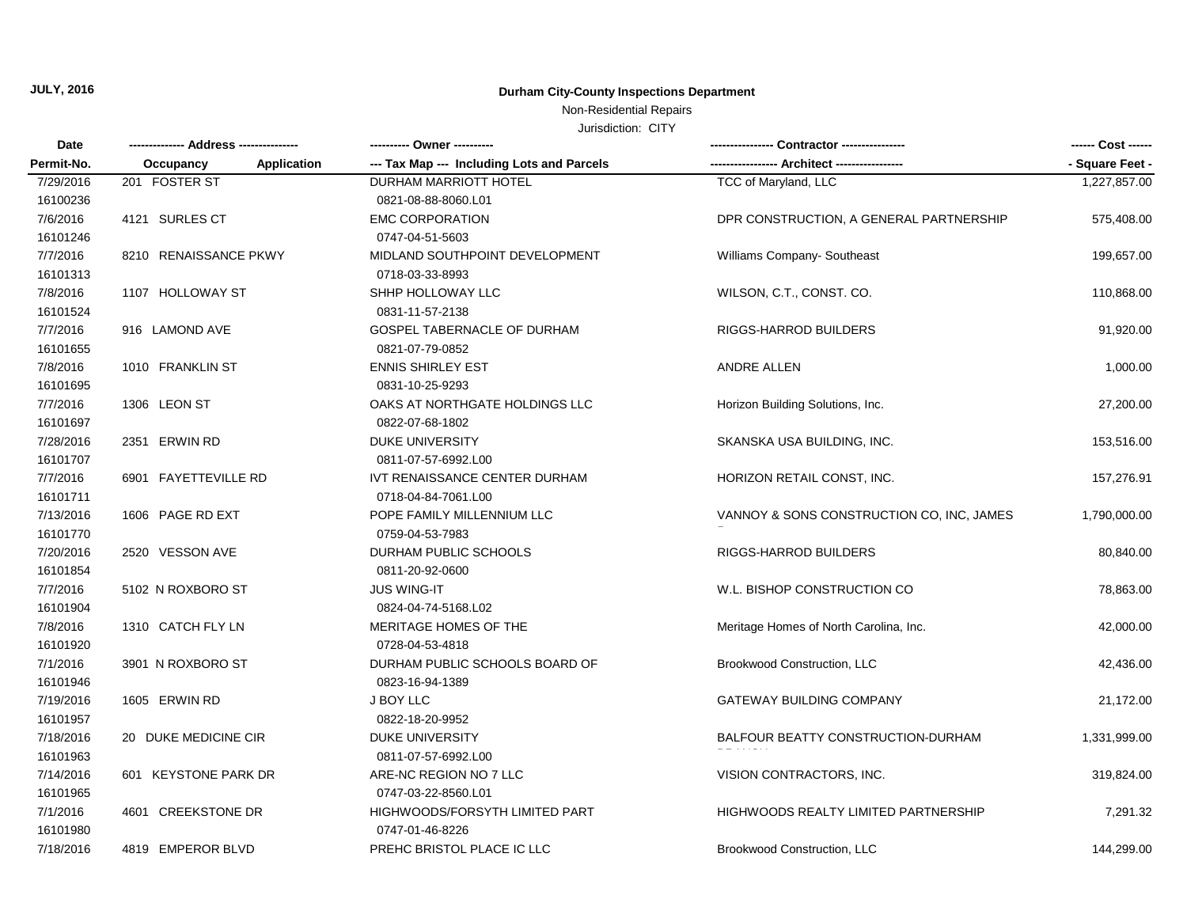#### Non-Residential Repairs

| Date       |                          | --------- Owner ---------                  |                                             | ------ Cost ------ |
|------------|--------------------------|--------------------------------------------|---------------------------------------------|--------------------|
| Permit-No. | Application<br>Occupancy | --- Tax Map --- Including Lots and Parcels |                                             | - Square Feet -    |
| 7/29/2016  | 201 FOSTER ST            | <b>DURHAM MARRIOTT HOTEL</b>               | <b>TCC of Maryland, LLC</b>                 | 1,227,857.00       |
| 16100236   |                          | 0821-08-88-8060.L01                        |                                             |                    |
| 7/6/2016   | 4121 SURLES CT           | <b>EMC CORPORATION</b>                     | DPR CONSTRUCTION, A GENERAL PARTNERSHIP     | 575,408.00         |
| 16101246   |                          | 0747-04-51-5603                            |                                             |                    |
| 7/7/2016   | 8210 RENAISSANCE PKWY    | MIDLAND SOUTHPOINT DEVELOPMENT             | Williams Company- Southeast                 | 199,657.00         |
| 16101313   |                          | 0718-03-33-8993                            |                                             |                    |
| 7/8/2016   | 1107 HOLLOWAY ST         | SHHP HOLLOWAY LLC                          | WILSON, C.T., CONST. CO.                    | 110,868.00         |
| 16101524   |                          | 0831-11-57-2138                            |                                             |                    |
| 7/7/2016   | 916 LAMOND AVE           | GOSPEL TABERNACLE OF DURHAM                | RIGGS-HARROD BUILDERS                       | 91,920.00          |
| 16101655   |                          | 0821-07-79-0852                            |                                             |                    |
| 7/8/2016   | 1010 FRANKLIN ST         | <b>ENNIS SHIRLEY EST</b>                   | ANDRE ALLEN                                 | 1,000.00           |
| 16101695   |                          | 0831-10-25-9293                            |                                             |                    |
| 7/7/2016   | 1306 LEON ST             | OAKS AT NORTHGATE HOLDINGS LLC             | Horizon Building Solutions, Inc.            | 27,200.00          |
| 16101697   |                          | 0822-07-68-1802                            |                                             |                    |
| 7/28/2016  | 2351 ERWIN RD            | <b>DUKE UNIVERSITY</b>                     | SKANSKA USA BUILDING, INC.                  | 153,516.00         |
| 16101707   |                          | 0811-07-57-6992.L00                        |                                             |                    |
| 7/7/2016   | 6901 FAYETTEVILLE RD     | IVT RENAISSANCE CENTER DURHAM              | HORIZON RETAIL CONST, INC.                  | 157,276.91         |
| 16101711   |                          | 0718-04-84-7061.L00                        |                                             |                    |
| 7/13/2016  | 1606 PAGE RD EXT         | POPE FAMILY MILLENNIUM LLC                 | VANNOY & SONS CONSTRUCTION CO, INC, JAMES   | 1,790,000.00       |
| 16101770   |                          | 0759-04-53-7983                            |                                             |                    |
| 7/20/2016  | 2520 VESSON AVE          | DURHAM PUBLIC SCHOOLS                      | RIGGS-HARROD BUILDERS                       | 80,840.00          |
| 16101854   |                          | 0811-20-92-0600                            |                                             |                    |
| 7/7/2016   | 5102 N ROXBORO ST        | <b>JUS WING-IT</b>                         | W.L. BISHOP CONSTRUCTION CO                 | 78,863.00          |
| 16101904   |                          | 0824-04-74-5168.L02                        |                                             |                    |
| 7/8/2016   | 1310 CATCH FLY LN        | MERITAGE HOMES OF THE                      | Meritage Homes of North Carolina, Inc.      | 42,000.00          |
| 16101920   |                          | 0728-04-53-4818                            |                                             |                    |
| 7/1/2016   | 3901 N ROXBORO ST        | DURHAM PUBLIC SCHOOLS BOARD OF             | Brookwood Construction, LLC                 | 42,436.00          |
| 16101946   |                          | 0823-16-94-1389                            |                                             |                    |
| 7/19/2016  | 1605 ERWIN RD            | J BOY LLC                                  | <b>GATEWAY BUILDING COMPANY</b>             | 21,172.00          |
| 16101957   |                          | 0822-18-20-9952                            |                                             |                    |
| 7/18/2016  | 20 DUKE MEDICINE CIR     | DUKE UNIVERSITY                            | BALFOUR BEATTY CONSTRUCTION-DURHAM          | 1,331,999.00       |
| 16101963   |                          | 0811-07-57-6992.L00                        |                                             |                    |
| 7/14/2016  | 601 KEYSTONE PARK DR     | ARE-NC REGION NO 7 LLC                     | VISION CONTRACTORS, INC.                    | 319,824.00         |
| 16101965   |                          | 0747-03-22-8560.L01                        |                                             |                    |
| 7/1/2016   | 4601 CREEKSTONE DR       | HIGHWOODS/FORSYTH LIMITED PART             | <b>HIGHWOODS REALTY LIMITED PARTNERSHIP</b> | 7,291.32           |
| 16101980   |                          | 0747-01-46-8226                            |                                             |                    |
| 7/18/2016  | 4819 EMPEROR BLVD        | PREHC BRISTOL PLACE IC LLC                 | <b>Brookwood Construction, LLC</b>          | 144,299.00         |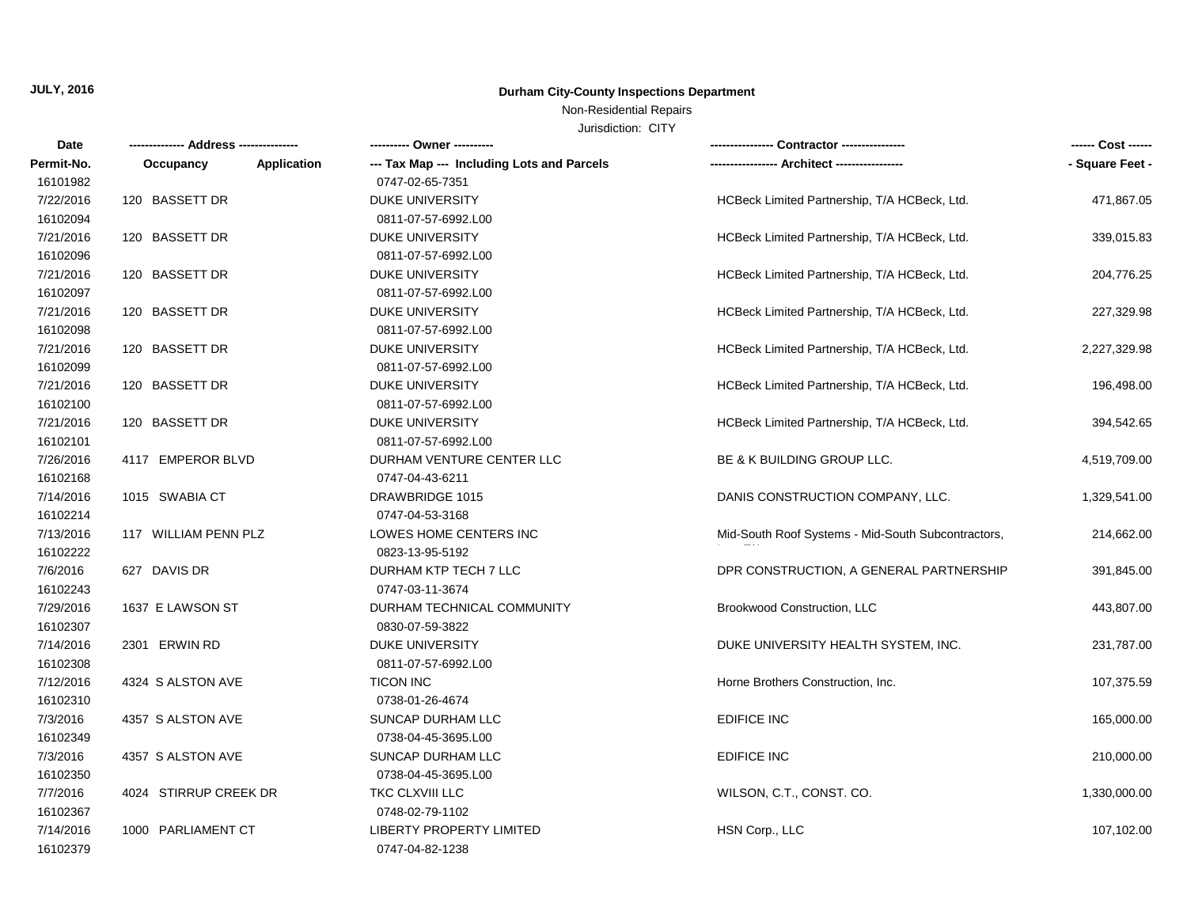# Non-Residential Repairs

| Date       |                          | ---------- Owner ----------                |                                                    | ------ Cost ------ |
|------------|--------------------------|--------------------------------------------|----------------------------------------------------|--------------------|
| Permit-No. | Application<br>Occupancy | --- Tax Map --- Including Lots and Parcels |                                                    | - Square Feet -    |
| 16101982   |                          | 0747-02-65-7351                            |                                                    |                    |
| 7/22/2016  | 120 BASSETT DR           | DUKE UNIVERSITY                            | HCBeck Limited Partnership, T/A HCBeck, Ltd.       | 471,867.05         |
| 16102094   |                          | 0811-07-57-6992.L00                        |                                                    |                    |
| 7/21/2016  | 120 BASSETT DR           | DUKE UNIVERSITY                            | HCBeck Limited Partnership, T/A HCBeck, Ltd.       | 339,015.83         |
| 16102096   |                          | 0811-07-57-6992.L00                        |                                                    |                    |
| 7/21/2016  | 120 BASSETT DR           | <b>DUKE UNIVERSITY</b>                     | HCBeck Limited Partnership, T/A HCBeck, Ltd.       | 204,776.25         |
| 16102097   |                          | 0811-07-57-6992.L00                        |                                                    |                    |
| 7/21/2016  | 120 BASSETT DR           | <b>DUKE UNIVERSITY</b>                     | HCBeck Limited Partnership, T/A HCBeck, Ltd.       | 227,329.98         |
| 16102098   |                          | 0811-07-57-6992.L00                        |                                                    |                    |
| 7/21/2016  | 120 BASSETT DR           | <b>DUKE UNIVERSITY</b>                     | HCBeck Limited Partnership, T/A HCBeck, Ltd.       | 2,227,329.98       |
| 16102099   |                          | 0811-07-57-6992.L00                        |                                                    |                    |
| 7/21/2016  | 120 BASSETT DR           | <b>DUKE UNIVERSITY</b>                     | HCBeck Limited Partnership, T/A HCBeck, Ltd.       | 196,498.00         |
| 16102100   |                          | 0811-07-57-6992.L00                        |                                                    |                    |
| 7/21/2016  | 120 BASSETT DR           | <b>DUKE UNIVERSITY</b>                     | HCBeck Limited Partnership, T/A HCBeck, Ltd.       | 394,542.65         |
| 16102101   |                          | 0811-07-57-6992.L00                        |                                                    |                    |
| 7/26/2016  | 4117 EMPEROR BLVD        | DURHAM VENTURE CENTER LLC                  | BE & K BUILDING GROUP LLC.                         | 4,519,709.00       |
| 16102168   |                          | 0747-04-43-6211                            |                                                    |                    |
| 7/14/2016  | 1015 SWABIA CT           | DRAWBRIDGE 1015                            | DANIS CONSTRUCTION COMPANY, LLC.                   | 1,329,541.00       |
| 16102214   |                          | 0747-04-53-3168                            |                                                    |                    |
| 7/13/2016  | 117 WILLIAM PENN PLZ     | LOWES HOME CENTERS INC                     | Mid-South Roof Systems - Mid-South Subcontractors, | 214,662.00         |
| 16102222   |                          | 0823-13-95-5192                            |                                                    |                    |
| 7/6/2016   | 627 DAVIS DR             | DURHAM KTP TECH 7 LLC                      | DPR CONSTRUCTION, A GENERAL PARTNERSHIP            | 391,845.00         |
| 16102243   |                          | 0747-03-11-3674                            |                                                    |                    |
| 7/29/2016  | 1637 E LAWSON ST         | DURHAM TECHNICAL COMMUNITY                 | Brookwood Construction, LLC                        | 443,807.00         |
| 16102307   |                          | 0830-07-59-3822                            |                                                    |                    |
| 7/14/2016  | 2301 ERWIN RD            | DUKE UNIVERSITY                            | DUKE UNIVERSITY HEALTH SYSTEM, INC.                | 231,787.00         |
| 16102308   |                          | 0811-07-57-6992.L00                        |                                                    |                    |
| 7/12/2016  | 4324 S ALSTON AVE        | <b>TICON INC</b>                           | Horne Brothers Construction, Inc.                  | 107,375.59         |
| 16102310   |                          | 0738-01-26-4674                            |                                                    |                    |
| 7/3/2016   | 4357 S ALSTON AVE        | SUNCAP DURHAM LLC                          | EDIFICE INC                                        | 165,000.00         |
| 16102349   |                          | 0738-04-45-3695.L00                        |                                                    |                    |
| 7/3/2016   | 4357 S ALSTON AVE        | SUNCAP DURHAM LLC                          | <b>EDIFICE INC</b>                                 | 210,000.00         |
| 16102350   |                          | 0738-04-45-3695.L00                        |                                                    |                    |
| 7/7/2016   | 4024 STIRRUP CREEK DR    | TKC CLXVIII LLC                            | WILSON, C.T., CONST. CO.                           | 1,330,000.00       |
| 16102367   |                          | 0748-02-79-1102                            |                                                    |                    |
| 7/14/2016  | 1000 PARLIAMENT CT       | <b>LIBERTY PROPERTY LIMITED</b>            | HSN Corp., LLC                                     | 107,102.00         |
| 16102379   |                          | 0747-04-82-1238                            |                                                    |                    |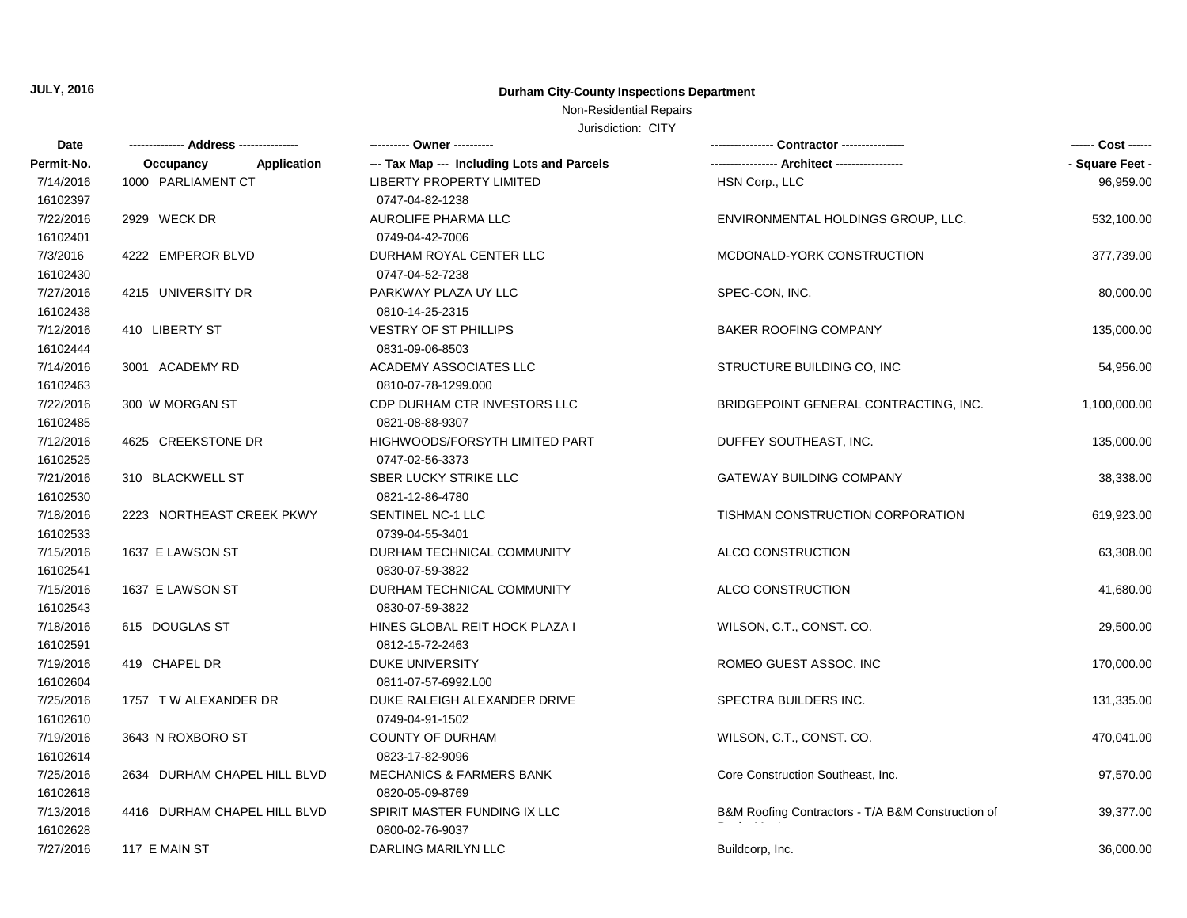# Non-Residential Repairs

| Date       |                                 | ---------- Owner ----------                |                                                   | ------ Cost ------ |
|------------|---------------------------------|--------------------------------------------|---------------------------------------------------|--------------------|
| Permit-No. | Occupancy<br><b>Application</b> | --- Tax Map --- Including Lots and Parcels |                                                   | - Square Feet -    |
| 7/14/2016  | 1000 PARLIAMENT CT              | <b>LIBERTY PROPERTY LIMITED</b>            | HSN Corp., LLC                                    | 96,959.00          |
| 16102397   |                                 | 0747-04-82-1238                            |                                                   |                    |
| 7/22/2016  | 2929 WECK DR                    | AUROLIFE PHARMA LLC                        | ENVIRONMENTAL HOLDINGS GROUP, LLC.                | 532,100.00         |
| 16102401   |                                 | 0749-04-42-7006                            |                                                   |                    |
| 7/3/2016   | 4222 EMPEROR BLVD               | DURHAM ROYAL CENTER LLC                    | MCDONALD-YORK CONSTRUCTION                        | 377,739.00         |
| 16102430   |                                 | 0747-04-52-7238                            |                                                   |                    |
| 7/27/2016  | 4215 UNIVERSITY DR              | PARKWAY PLAZA UY LLC                       | SPEC-CON, INC.                                    | 80,000.00          |
| 16102438   |                                 | 0810-14-25-2315                            |                                                   |                    |
| 7/12/2016  | 410 LIBERTY ST                  | <b>VESTRY OF ST PHILLIPS</b>               | <b>BAKER ROOFING COMPANY</b>                      | 135,000.00         |
| 16102444   |                                 | 0831-09-06-8503                            |                                                   |                    |
| 7/14/2016  | 3001 ACADEMY RD                 | <b>ACADEMY ASSOCIATES LLC</b>              | STRUCTURE BUILDING CO, INC                        | 54,956.00          |
| 16102463   |                                 | 0810-07-78-1299.000                        |                                                   |                    |
| 7/22/2016  | 300 W MORGAN ST                 | CDP DURHAM CTR INVESTORS LLC               | BRIDGEPOINT GENERAL CONTRACTING, INC.             | 1,100,000.00       |
| 16102485   |                                 | 0821-08-88-9307                            |                                                   |                    |
| 7/12/2016  | 4625 CREEKSTONE DR              | HIGHWOODS/FORSYTH LIMITED PART             | DUFFEY SOUTHEAST, INC.                            | 135,000.00         |
| 16102525   |                                 | 0747-02-56-3373                            |                                                   |                    |
| 7/21/2016  | 310 BLACKWELL ST                | SBER LUCKY STRIKE LLC                      | <b>GATEWAY BUILDING COMPANY</b>                   | 38,338.00          |
| 16102530   |                                 | 0821-12-86-4780                            |                                                   |                    |
| 7/18/2016  | 2223 NORTHEAST CREEK PKWY       | SENTINEL NC-1 LLC                          | TISHMAN CONSTRUCTION CORPORATION                  | 619,923.00         |
| 16102533   |                                 | 0739-04-55-3401                            |                                                   |                    |
| 7/15/2016  | 1637 E LAWSON ST                | DURHAM TECHNICAL COMMUNITY                 | ALCO CONSTRUCTION                                 | 63,308.00          |
| 16102541   |                                 | 0830-07-59-3822                            |                                                   |                    |
| 7/15/2016  | 1637 E LAWSON ST                | DURHAM TECHNICAL COMMUNITY                 | ALCO CONSTRUCTION                                 | 41,680.00          |
| 16102543   |                                 | 0830-07-59-3822                            |                                                   |                    |
| 7/18/2016  | 615 DOUGLAS ST                  | HINES GLOBAL REIT HOCK PLAZA I             | WILSON, C.T., CONST. CO.                          | 29,500.00          |
| 16102591   |                                 | 0812-15-72-2463                            |                                                   |                    |
| 7/19/2016  | 419 CHAPEL DR                   | <b>DUKE UNIVERSITY</b>                     | ROMEO GUEST ASSOC. INC                            | 170,000.00         |
| 16102604   |                                 | 0811-07-57-6992.L00                        |                                                   |                    |
| 7/25/2016  | 1757 TW ALEXANDER DR            | DUKE RALEIGH ALEXANDER DRIVE               | SPECTRA BUILDERS INC.                             | 131,335.00         |
| 16102610   |                                 | 0749-04-91-1502                            |                                                   |                    |
| 7/19/2016  | 3643 N ROXBORO ST               | <b>COUNTY OF DURHAM</b>                    | WILSON, C.T., CONST. CO.                          | 470,041.00         |
| 16102614   |                                 | 0823-17-82-9096                            |                                                   |                    |
| 7/25/2016  | 2634 DURHAM CHAPEL HILL BLVD    | <b>MECHANICS &amp; FARMERS BANK</b>        | Core Construction Southeast, Inc.                 | 97,570.00          |
| 16102618   |                                 | 0820-05-09-8769                            |                                                   |                    |
| 7/13/2016  | 4416 DURHAM CHAPEL HILL BLVD    | SPIRIT MASTER FUNDING IX LLC               | B&M Roofing Contractors - T/A B&M Construction of | 39,377.00          |
| 16102628   |                                 | 0800-02-76-9037                            |                                                   |                    |
| 7/27/2016  | 117 E MAIN ST                   | DARLING MARILYN LLC                        | Buildcorp, Inc.                                   | 36,000.00          |